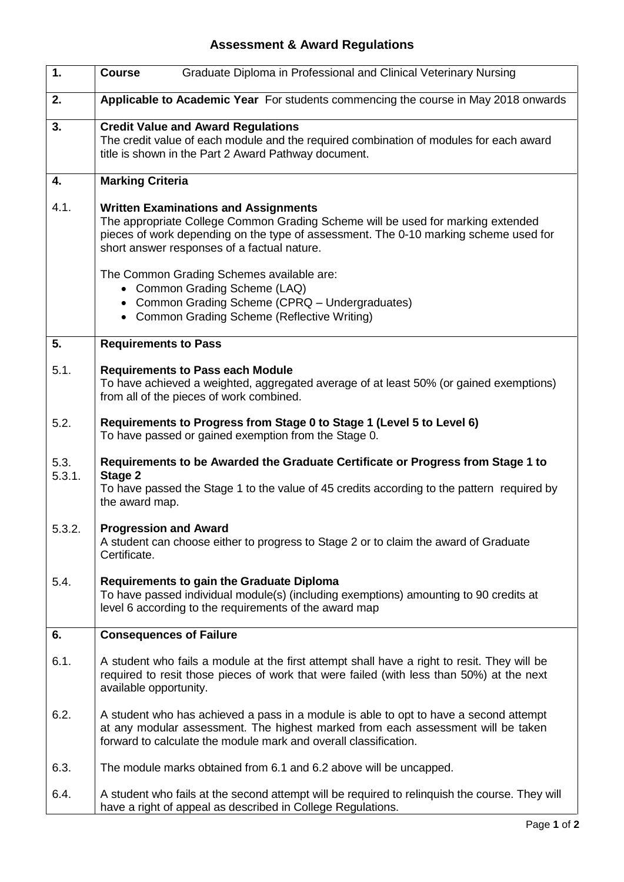## **Assessment & Award Regulations**

| 1.             | <b>Course</b><br>Graduate Diploma in Professional and Clinical Veterinary Nursing                                                                                                                                                                                     |
|----------------|-----------------------------------------------------------------------------------------------------------------------------------------------------------------------------------------------------------------------------------------------------------------------|
| 2.             | Applicable to Academic Year For students commencing the course in May 2018 onwards                                                                                                                                                                                    |
| 3.             | <b>Credit Value and Award Regulations</b><br>The credit value of each module and the required combination of modules for each award<br>title is shown in the Part 2 Award Pathway document.                                                                           |
| 4.             | <b>Marking Criteria</b>                                                                                                                                                                                                                                               |
| 4.1.           | <b>Written Examinations and Assignments</b><br>The appropriate College Common Grading Scheme will be used for marking extended<br>pieces of work depending on the type of assessment. The 0-10 marking scheme used for<br>short answer responses of a factual nature. |
|                | The Common Grading Schemes available are:<br>• Common Grading Scheme (LAQ)<br>• Common Grading Scheme (CPRQ - Undergraduates)<br>• Common Grading Scheme (Reflective Writing)                                                                                         |
| 5.             | <b>Requirements to Pass</b>                                                                                                                                                                                                                                           |
| 5.1.           | <b>Requirements to Pass each Module</b><br>To have achieved a weighted, aggregated average of at least 50% (or gained exemptions)<br>from all of the pieces of work combined.                                                                                         |
| 5.2.           | Requirements to Progress from Stage 0 to Stage 1 (Level 5 to Level 6)<br>To have passed or gained exemption from the Stage 0.                                                                                                                                         |
| 5.3.<br>5.3.1. | Requirements to be Awarded the Graduate Certificate or Progress from Stage 1 to<br>Stage 2<br>To have passed the Stage 1 to the value of 45 credits according to the pattern required by<br>the award map.                                                            |
| 5.3.2.         | <b>Progression and Award</b><br>A student can choose either to progress to Stage 2 or to claim the award of Graduate<br>Certificate.                                                                                                                                  |
| 5.4.           | <b>Requirements to gain the Graduate Diploma</b><br>To have passed individual module(s) (including exemptions) amounting to 90 credits at<br>level 6 according to the requirements of the award map                                                                   |
| 6.             | <b>Consequences of Failure</b>                                                                                                                                                                                                                                        |
| 6.1.           | A student who fails a module at the first attempt shall have a right to resit. They will be<br>required to resit those pieces of work that were failed (with less than 50%) at the next<br>available opportunity.                                                     |
| 6.2.           | A student who has achieved a pass in a module is able to opt to have a second attempt<br>at any modular assessment. The highest marked from each assessment will be taken<br>forward to calculate the module mark and overall classification.                         |
| 6.3.           | The module marks obtained from 6.1 and 6.2 above will be uncapped.                                                                                                                                                                                                    |
| 6.4.           | A student who fails at the second attempt will be required to relinguish the course. They will<br>have a right of appeal as described in College Regulations.                                                                                                         |